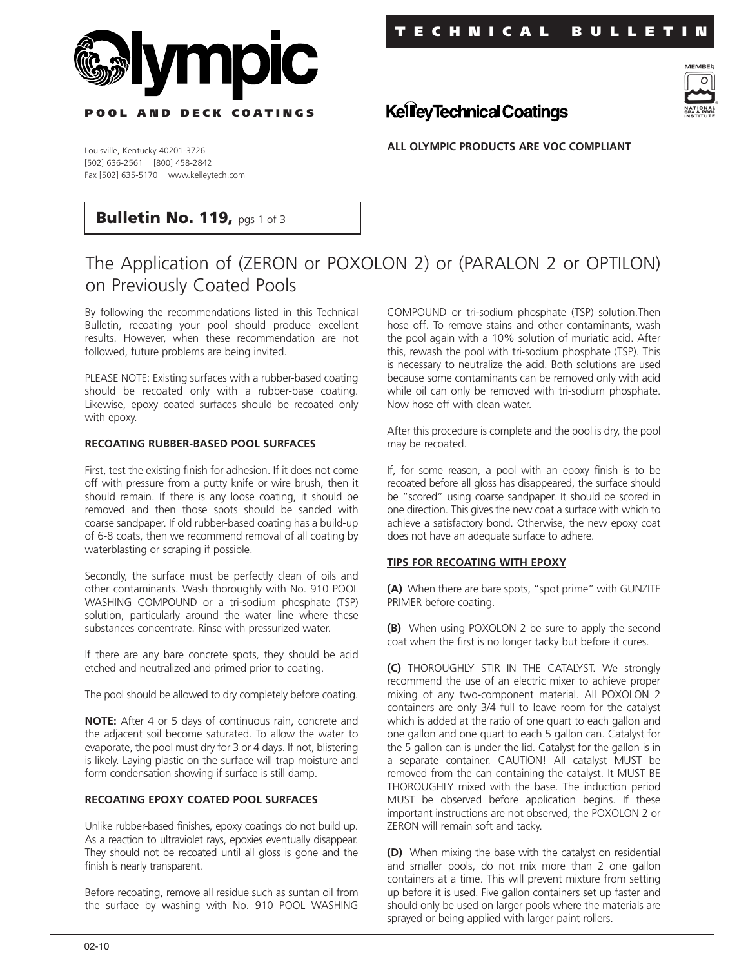



**P OOL AND DECK COATINGS**

**ALL OLYMPIC PRODUCTS ARE VOC COMPLIANT**

**KellieyTechnical Coatings** 

Louisville, Kentucky 40201-3726 [502] 636-2561 [800] 458-2842 Fax [502] 635-5170 www.kelleytech.com

# **Bulletin No. 119, pgs 1 of 3**

# The Application of (ZERON or POXOLON 2) or (PARALON 2 or OPTILON) on Previously Coated Pools

By following the recommendations listed in this Technical Bulletin, recoating your pool should produce excellent results. However, when these recommendation are not followed, future problems are being invited.

PLEASE NOTE: Existing surfaces with a rubber-based coating should be recoated only with a rubber-base coating. Likewise, epoxy coated surfaces should be recoated only with epoxy.

### **RECOATING RUBBER-BASED POOL SURFACES**

First, test the existing finish for adhesion. If it does not come off with pressure from a putty knife or wire brush, then it should remain. If there is any loose coating, it should be removed and then those spots should be sanded with coarse sandpaper. If old rubber-based coating has a build-up of 6-8 coats, then we recommend removal of all coating by waterblasting or scraping if possible.

Secondly, the surface must be perfectly clean of oils and other contaminants. Wash thoroughly with No. 910 POOL WASHING COMPOUND or a tri-sodium phosphate (TSP) solution, particularly around the water line where these substances concentrate. Rinse with pressurized water.

If there are any bare concrete spots, they should be acid etched and neutralized and primed prior to coating.

The pool should be allowed to dry completely before coating.

**NOTE:** After 4 or 5 days of continuous rain, concrete and the adjacent soil become saturated. To allow the water to evaporate, the pool must dry for 3 or 4 days. If not, blistering is likely. Laying plastic on the surface will trap moisture and form condensation showing if surface is still damp.

# **RECOATING EPOXY COATED POOL SURFACES**

Unlike rubber-based finishes, epoxy coatings do not build up. As a reaction to ultraviolet rays, epoxies eventually disappear. They should not be recoated until all gloss is gone and the finish is nearly transparent.

Before recoating, remove all residue such as suntan oil from the surface by washing with No. 910 POOL WASHING

COMPOUND or tri-sodium phosphate (TSP) solution.Then hose off. To remove stains and other contaminants, wash the pool again with a 10% solution of muriatic acid. After this, rewash the pool with tri-sodium phosphate (TSP). This is necessary to neutralize the acid. Both solutions are used because some contaminants can be removed only with acid while oil can only be removed with tri-sodium phosphate. Now hose off with clean water.

After this procedure is complete and the pool is dry, the pool may be recoated.

If, for some reason, a pool with an epoxy finish is to be recoated before all gloss has disappeared, the surface should be "scored" using coarse sandpaper. It should be scored in one direction. This gives the new coat a surface with which to achieve a satisfactory bond. Otherwise, the new epoxy coat does not have an adequate surface to adhere.

# **TIPS FOR RECOATING WITH EPOXY**

**(A)** When there are bare spots, "spot prime" with GUNZITE PRIMER before coating.

**(B)** When using POXOLON 2 be sure to apply the second coat when the first is no longer tacky but before it cures.

**(C)** THOROUGHLY STIR IN THE CATALYST. We strongly recommend the use of an electric mixer to achieve proper mixing of any two-component material. All POXOLON 2 containers are only 3/4 full to leave room for the catalyst which is added at the ratio of one quart to each gallon and one gallon and one quart to each 5 gallon can. Catalyst for the 5 gallon can is under the lid. Catalyst for the gallon is in a separate container. CAUTION! All catalyst MUST be removed from the can containing the catalyst. It MUST BE THOROUGHLY mixed with the base. The induction period MUST be observed before application begins. If these important instructions are not observed, the POXOLON 2 or ZERON will remain soft and tacky.

**(D)** When mixing the base with the catalyst on residential and smaller pools, do not mix more than 2 one gallon containers at a time. This will prevent mixture from setting up before it is used. Five gallon containers set up faster and should only be used on larger pools where the materials are sprayed or being applied with larger paint rollers.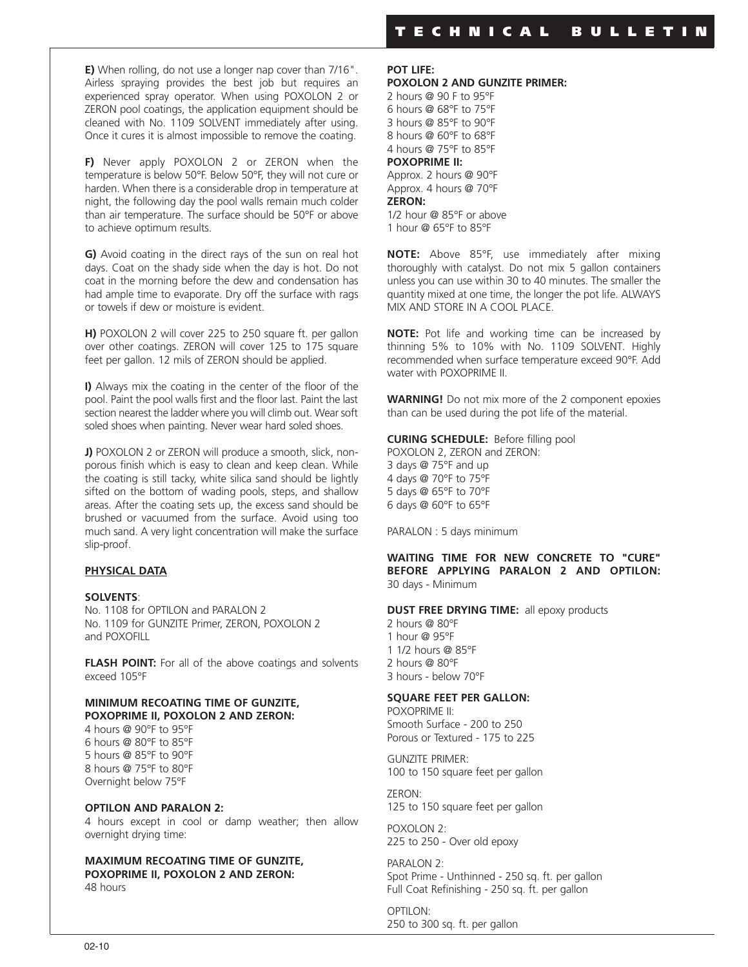**E)** When rolling, do not use a longer nap cover than 7/16". Airless spraying provides the best job but requires an experienced spray operator. When using POXOLON 2 or ZERON pool coatings, the application equipment should be cleaned with No. 1109 SOLVENT immediately after using. Once it cures it is almost impossible to remove the coating.

**F)** Never apply POXOLON 2 or ZERON when the temperature is below 50°F. Below 50°F, they will not cure or harden. When there is a considerable drop in temperature at night, the following day the pool walls remain much colder than air temperature. The surface should be 50°F or above to achieve optimum results.

**G)** Avoid coating in the direct rays of the sun on real hot days. Coat on the shady side when the day is hot. Do not coat in the morning before the dew and condensation has had ample time to evaporate. Dry off the surface with rags or towels if dew or moisture is evident.

**H)** POXOLON 2 will cover 225 to 250 square ft. per gallon over other coatings. ZERON will cover 125 to 175 square feet per gallon. 12 mils of ZERON should be applied.

**I)** Always mix the coating in the center of the floor of the pool. Paint the pool walls first and the floor last. Paint the last section nearest the ladder where you will climb out. Wear soft soled shoes when painting. Never wear hard soled shoes.

**J)** POXOLON 2 or ZERON will produce a smooth, slick, nonporous finish which is easy to clean and keep clean. While the coating is still tacky, white silica sand should be lightly sifted on the bottom of wading pools, steps, and shallow areas. After the coating sets up, the excess sand should be brushed or vacuumed from the surface. Avoid using too much sand. A very light concentration will make the surface slip-proof.

# **PHYSICAL DATA**

### **SOLVENTS**:

No. 1108 for OPTILON and PARALON 2 No. 1109 for GUNZITE Primer, ZERON, POXOLON 2 and POXOFILL

**FLASH POINT:** For all of the above coatings and solvents exceed 105°F

#### **MINIMUM RECOATING TIME OF GUNZITE, POXOPRIME II, POXOLON 2 AND ZERON:**

 hours @ 90°F to 95°F hours @ 80°F to 85°F hours @ 85°F to 90°F hours @ 75°F to 80°F Overnight below 75°F

#### **OPTILON AND PARALON 2:**

4 hours except in cool or damp weather; then allow overnight drying time:

#### **MAXIMUM RECOATING TIME OF GUNZITE, POXOPRIME II, POXOLON 2 AND ZERON:** 48 hours

**POT LIFE: POXOLON 2 AND GUNZITE PRIMER:**

2 hours @ 90 F to 95°F 6 hours @ 68°F to 75°F 3 hours @ 85°F to 90°F 8 hours @ 60°F to 68°F 4 hours @ 75°F to 85°F **POXOPRIME II:** Approx. 2 hours @ 90°F Approx. 4 hours @ 70°F **ZERON:** 1/2 hour @ 85°F or above 1 hour @ 65°F to 85°F

**NOTE:** Above 85°F, use immediately after mixing thoroughly with catalyst. Do not mix 5 gallon containers unless you can use within 30 to 40 minutes. The smaller the quantity mixed at one time, the longer the pot life. ALWAYS MIX AND STORE IN A COOL PLACE.

**NOTE:** Pot life and working time can be increased by thinning 5% to 10% with No. 1109 SOLVENT. Highly recommended when surface temperature exceed 90°F. Add water with POXOPRIME II.

**WARNING!** Do not mix more of the 2 component epoxies than can be used during the pot life of the material.

**CURING SCHEDULE:** Before filling pool

POXOLON 2, ZERON and ZERON: days @ 75°F and up days @ 70°F to 75°F days @ 65°F to 70°F days @ 60°F to 65°F

PARALON : 5 days minimum

**WAITING TIME FOR NEW CONCRETE TO "CURE" BEFORE APPLYING PARALON 2 AND OPTILON:** 30 days - Minimum

**DUST FREE DRYING TIME:** all epoxy products

 hours @ 80°F hour @ 95°F 1/2 hours @ 85°F hours @ 80°F hours - below 70°F

#### **SQUARE FEET PER GALLON:**

POXOPRIME II: Smooth Surface - 200 to 250 Porous or Textured - 175 to 225

GUNZITE PRIMER: 100 to 150 square feet per gallon

ZERON: 125 to 150 square feet per gallon

POXOLON 2: 225 to 250 - Over old epoxy

PARALON 2: Spot Prime - Unthinned - 250 sq. ft. per gallon Full Coat Refinishing - 250 sq. ft. per gallon

OPTILON: 250 to 300 sq. ft. per gallon